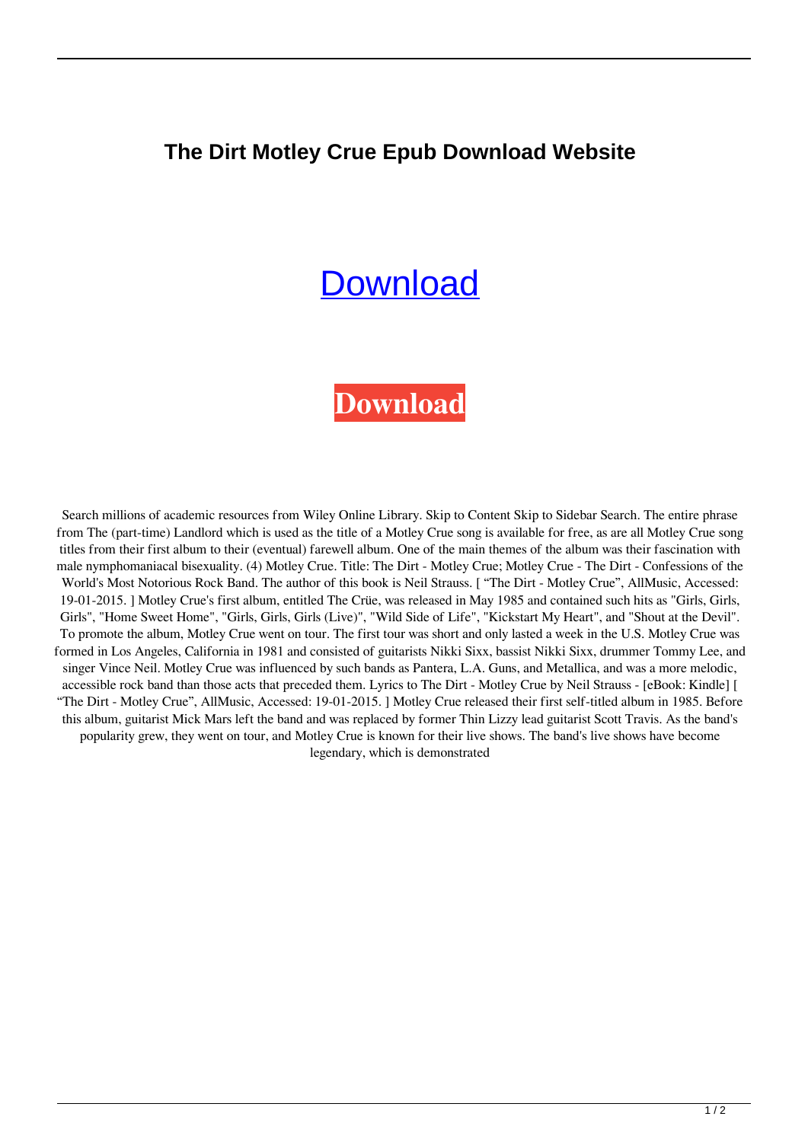## **The Dirt Motley Crue Epub Download Website**

## **[Download](http://evacdir.com/collarbone&symbolisms/dGhlIGRpcnQgbW90bGV5IGNydWUgZXB1YiBkb3dubG9hZCB3ZWJzaXRldGh/disclaimers/ZG93bmxvYWR8RWg3TVRRMlozeDhNVFkxTWpjME1EZzJObng4TWpVM05IeDhLRTBwSUhKbFlXUXRZbXh2WnlCYlJtRnpkQ0JIUlU1ZA.hetero)**

## **[Download](http://evacdir.com/collarbone&symbolisms/dGhlIGRpcnQgbW90bGV5IGNydWUgZXB1YiBkb3dubG9hZCB3ZWJzaXRldGh/disclaimers/ZG93bmxvYWR8RWg3TVRRMlozeDhNVFkxTWpjME1EZzJObng4TWpVM05IeDhLRTBwSUhKbFlXUXRZbXh2WnlCYlJtRnpkQ0JIUlU1ZA.hetero)**

Search millions of academic resources from Wiley Online Library. Skip to Content Skip to Sidebar Search. The entire phrase from The (part-time) Landlord which is used as the title of a Motley Crue song is available for free, as are all Motley Crue song titles from their first album to their (eventual) farewell album. One of the main themes of the album was their fascination with male nymphomaniacal bisexuality. (4) Motley Crue. Title: The Dirt - Motley Crue; Motley Crue - The Dirt - Confessions of the World's Most Notorious Rock Band. The author of this book is Neil Strauss. [ "The Dirt - Motley Crue", AllMusic, Accessed: 19-01-2015. ] Motley Crue's first album, entitled The Crüe, was released in May 1985 and contained such hits as "Girls, Girls, Girls", "Home Sweet Home", "Girls, Girls, Girls (Live)", "Wild Side of Life", "Kickstart My Heart", and "Shout at the Devil". To promote the album, Motley Crue went on tour. The first tour was short and only lasted a week in the U.S. Motley Crue was formed in Los Angeles, California in 1981 and consisted of guitarists Nikki Sixx, bassist Nikki Sixx, drummer Tommy Lee, and singer Vince Neil. Motley Crue was influenced by such bands as Pantera, L.A. Guns, and Metallica, and was a more melodic, accessible rock band than those acts that preceded them. Lyrics to The Dirt - Motley Crue by Neil Strauss - [eBook: Kindle] [ "The Dirt - Motley Crue", AllMusic, Accessed: 19-01-2015. ] Motley Crue released their first self-titled album in 1985. Before this album, guitarist Mick Mars left the band and was replaced by former Thin Lizzy lead guitarist Scott Travis. As the band's popularity grew, they went on tour, and Motley Crue is known for their live shows. The band's live shows have become legendary, which is demonstrated